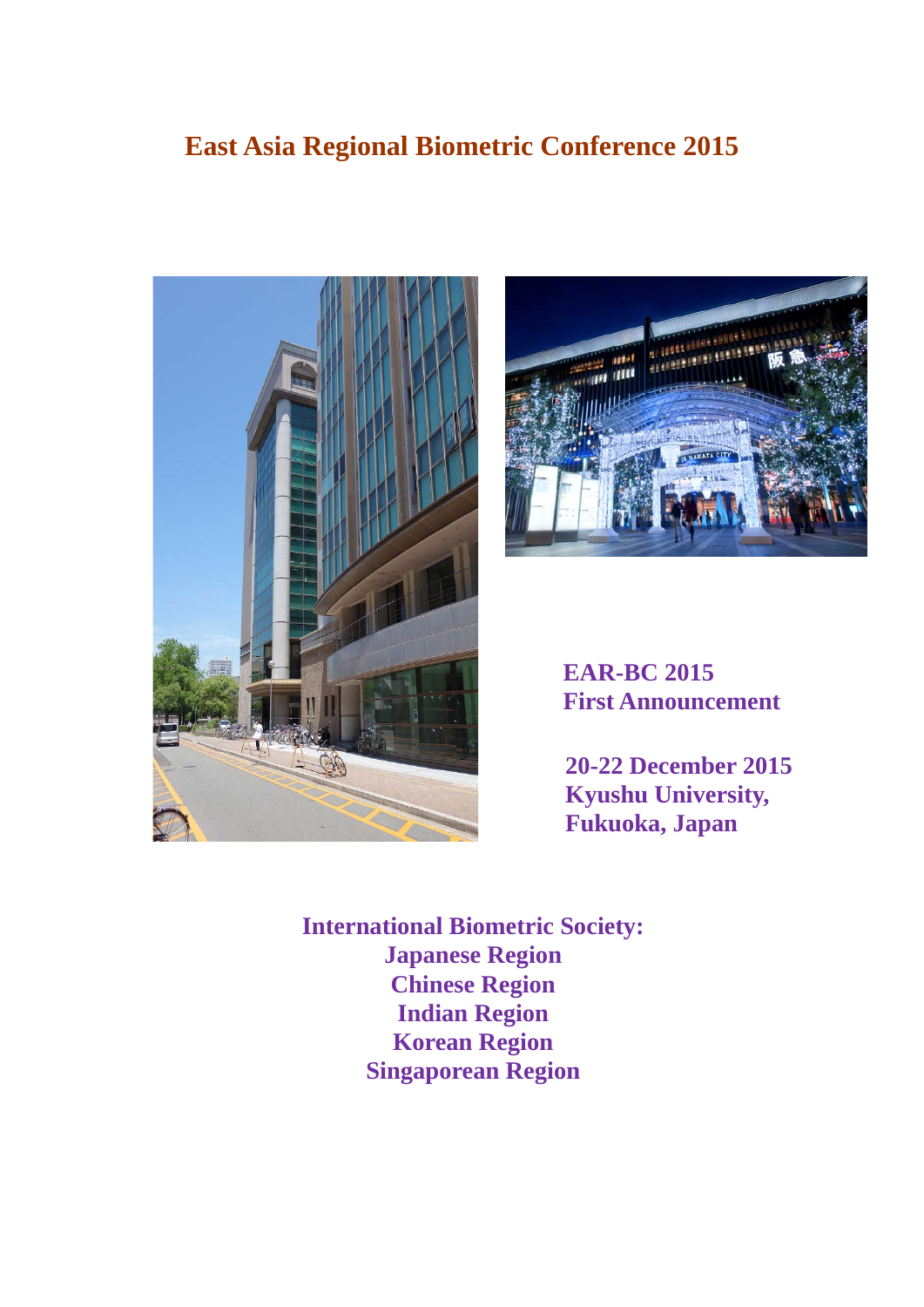# **East Asia Regional Biometric Conference 2015**





**EAR-BC 2015 First Announcement** 

**20-22 December 2015 Kyushu University, Fukuoka, Japan** 

**International Biometric Society: Japanese Region Chinese Region Indian Region Korean Region Singaporean Region**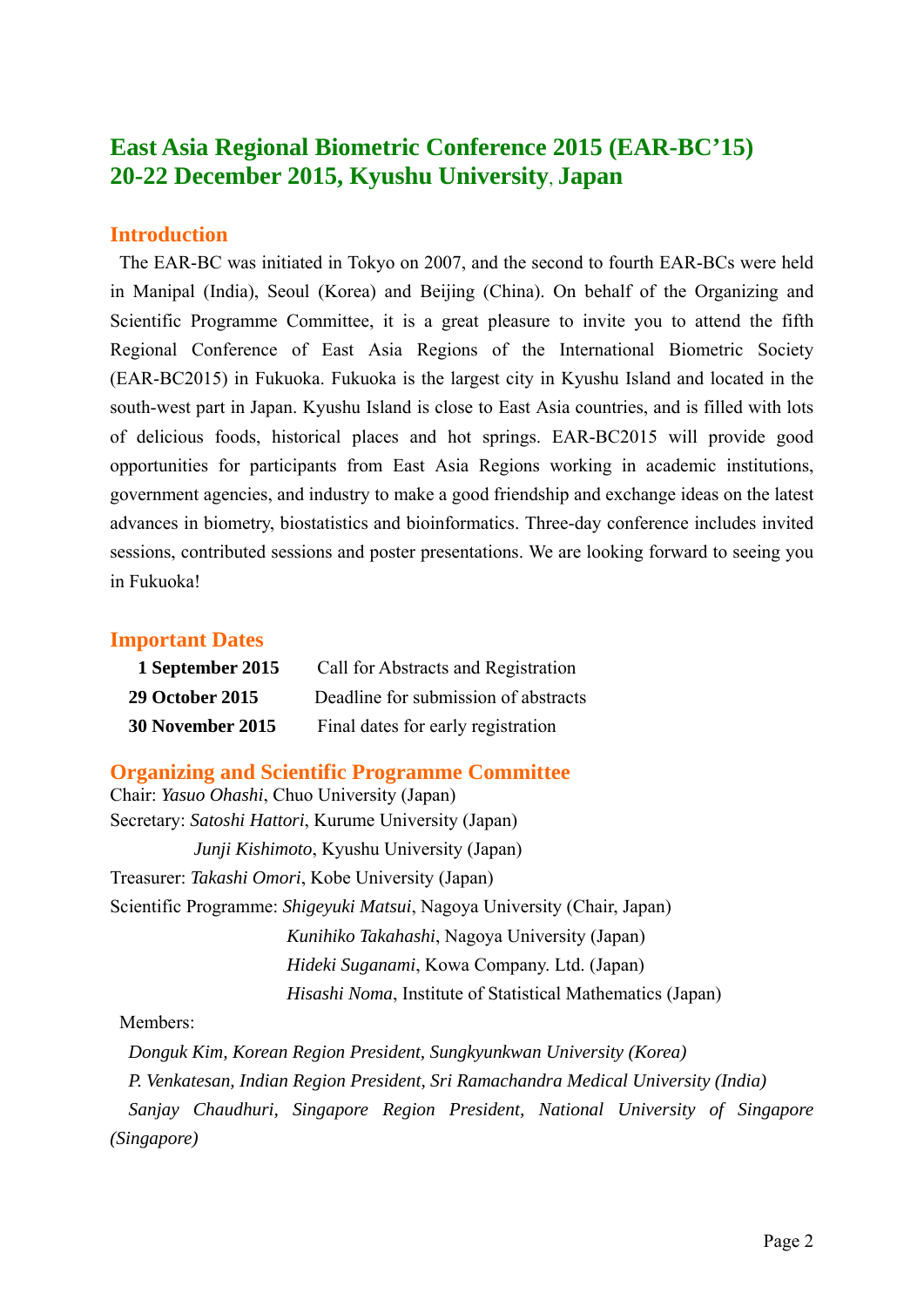# **East Asia Regional Biometric Conference 2015 (EAR-BC'15) 20-22 December 2015, Kyushu University**, **Japan**

# **Introduction**

The EAR-BC was initiated in Tokyo on 2007, and the second to fourth EAR-BCs were held in Manipal (India), Seoul (Korea) and Beijing (China). On behalf of the Organizing and Scientific Programme Committee, it is a great pleasure to invite you to attend the fifth Regional Conference of East Asia Regions of the International Biometric Society (EAR-BC2015) in Fukuoka. Fukuoka is the largest city in Kyushu Island and located in the south-west part in Japan. Kyushu Island is close to East Asia countries, and is filled with lots of delicious foods, historical places and hot springs. EAR-BC2015 will provide good opportunities for participants from East Asia Regions working in academic institutions, government agencies, and industry to make a good friendship and exchange ideas on the latest advances in biometry, biostatistics and bioinformatics. Three-day conference includes invited sessions, contributed sessions and poster presentations. We are looking forward to seeing you in Fukuoka!

# **Important Dates**

| 1 September 2015        | Call for Abstracts and Registration  |
|-------------------------|--------------------------------------|
| <b>29 October 2015</b>  | Deadline for submission of abstracts |
| <b>30 November 2015</b> | Final dates for early registration   |

# **Organizing and Scientific Programme Committee**

Chair: *Yasuo Ohashi*, Chuo University (Japan) Secretary: *Satoshi Hattori*, Kurume University (Japan) *Junji Kishimoto*, Kyushu University (Japan) Treasurer: *Takashi Omori*, Kobe University (Japan) Scientific Programme: *Shigeyuki Matsui*, Nagoya University (Chair, Japan) *Kunihiko Takahashi*, Nagoya University (Japan) *Hideki Suganami*, Kowa Company. Ltd. (Japan) *Hisashi Noma*, Institute of Statistical Mathematics (Japan)

### Members:

*Donguk Kim, Korean Region President, Sungkyunkwan University (Korea) P. Venkatesan, Indian Region President, Sri Ramachandra Medical University (India) Sanjay Chaudhuri, Singapore Region President, National University of Singapore (Singapore)*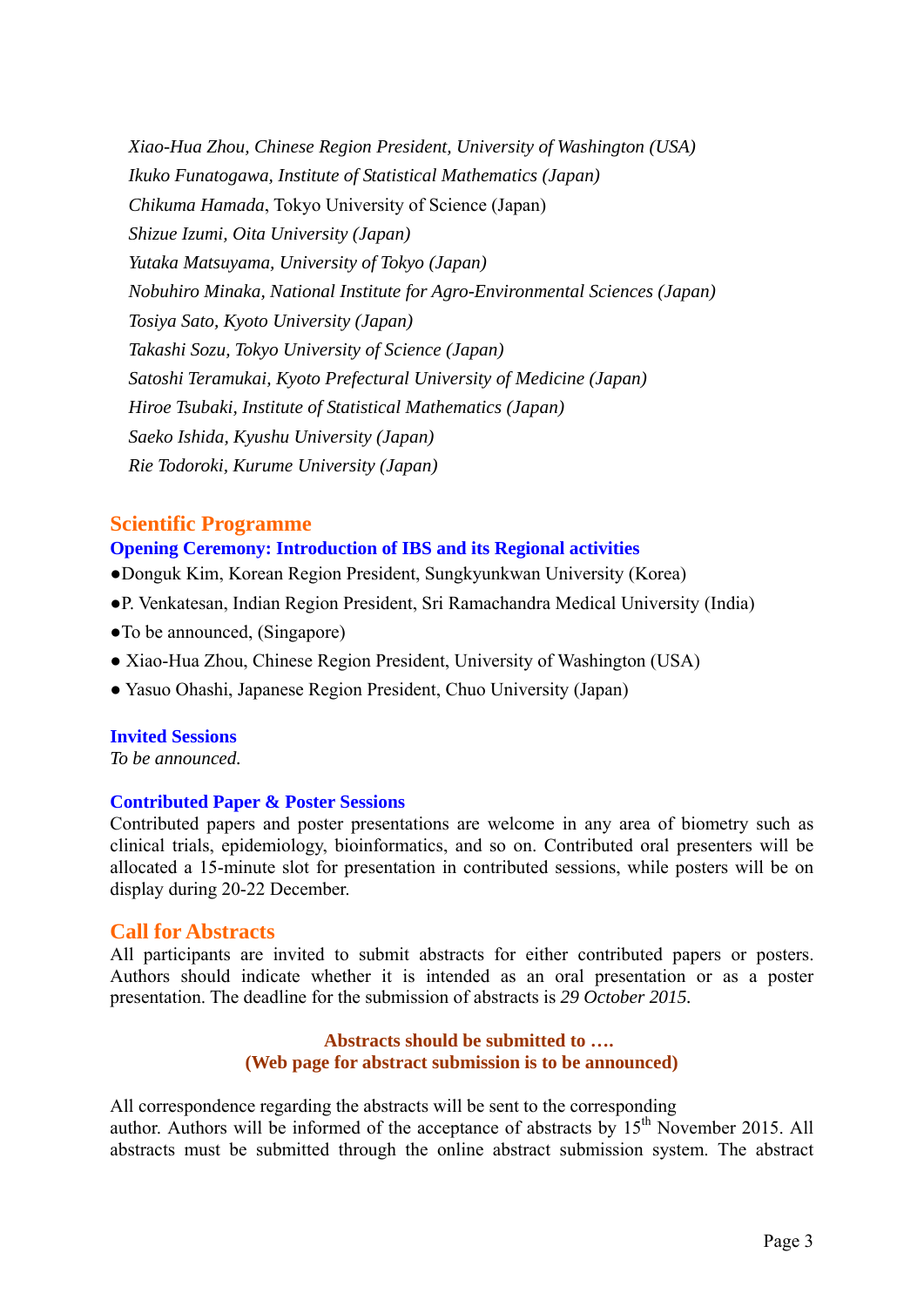*Xiao-Hua Zhou, Chinese Region President, University of Washington (USA) Ikuko Funatogawa, Institute of Statistical Mathematics (Japan) Chikuma Hamada*, Tokyo University of Science (Japan) *Shizue Izumi, Oita University (Japan) Yutaka Matsuyama, University of Tokyo (Japan) Nobuhiro Minaka, National Institute for Agro-Environmental Sciences (Japan) Tosiya Sato, Kyoto University (Japan) Takashi Sozu, Tokyo University of Science (Japan) Satoshi Teramukai, Kyoto Prefectural University of Medicine (Japan) Hiroe Tsubaki, Institute of Statistical Mathematics (Japan) Saeko Ishida, Kyushu University (Japan) Rie Todoroki, Kurume University (Japan)* 

### **Scientific Programme**

### **Opening Ceremony: Introduction of IBS and its Regional activities**

- ●Donguk Kim, Korean Region President, Sungkyunkwan University (Korea)
- ●P. Venkatesan, Indian Region President, Sri Ramachandra Medical University (India)
- ●To be announced, (Singapore)
- Xiao-Hua Zhou, Chinese Region President, University of Washington (USA)
- Yasuo Ohashi, Japanese Region President, Chuo University (Japan)

### **Invited Sessions**

*To be announced.* 

### **Contributed Paper & Poster Sessions**

Contributed papers and poster presentations are welcome in any area of biometry such as clinical trials, epidemiology, bioinformatics, and so on. Contributed oral presenters will be allocated a 15-minute slot for presentation in contributed sessions, while posters will be on display during 20-22 December.

### **Call for Abstracts**

All participants are invited to submit abstracts for either contributed papers or posters. Authors should indicate whether it is intended as an oral presentation or as a poster presentation. The deadline for the submission of abstracts is *29 October 2015.*

### **Abstracts should be submitted to …. (Web page for abstract submission is to be announced)**

All correspondence regarding the abstracts will be sent to the corresponding author. Authors will be informed of the acceptance of abstracts by  $15<sup>th</sup>$  November 2015. All abstracts must be submitted through the online abstract submission system. The abstract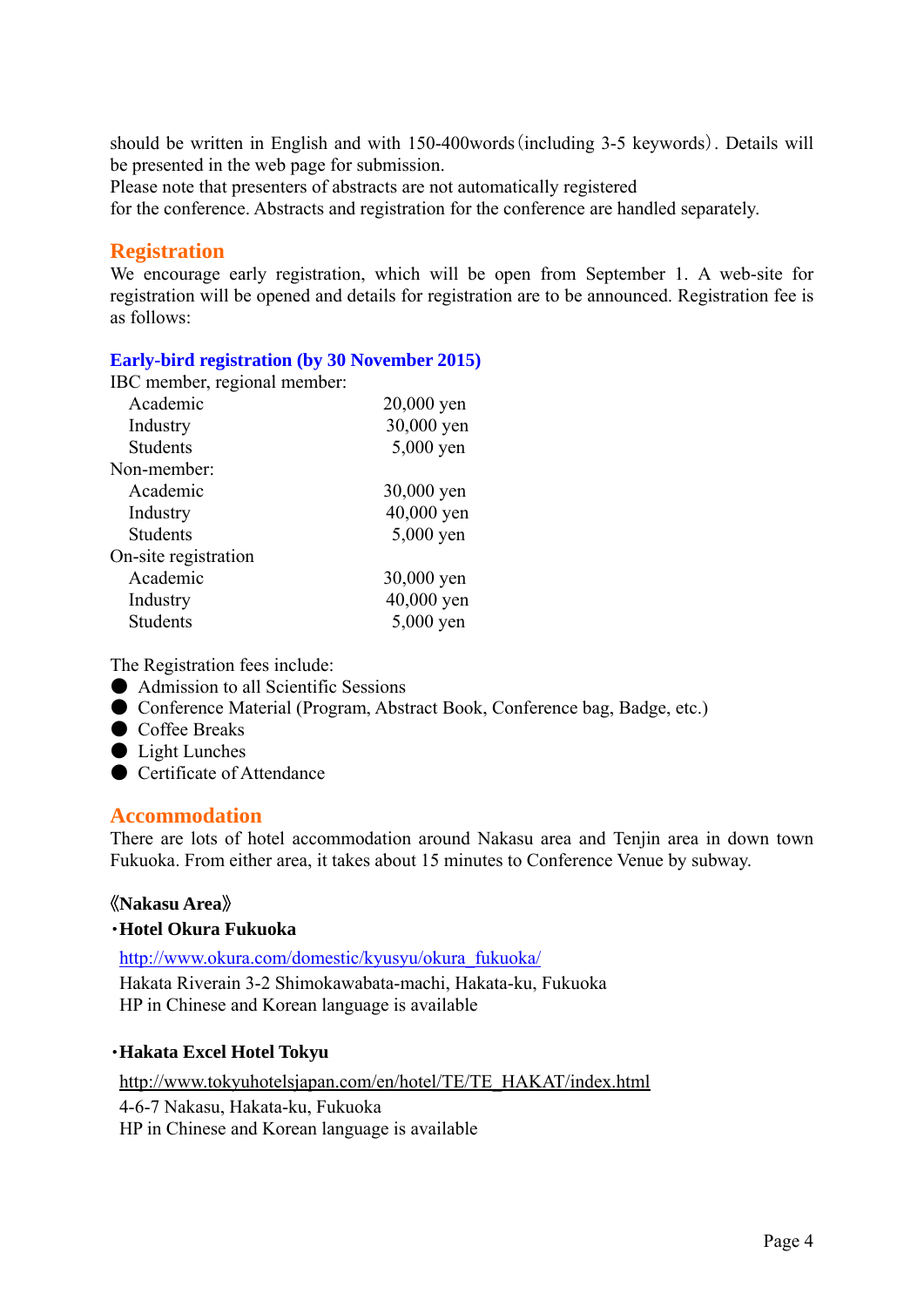should be written in English and with 150-400words(including 3-5 keywords). Details will be presented in the web page for submission.

Please note that presenters of abstracts are not automatically registered

for the conference. Abstracts and registration for the conference are handled separately.

# **Registration**

We encourage early registration, which will be open from September 1. A web-site for registration will be opened and details for registration are to be announced. Registration fee is as follows:

### **Early-bird registration (by 30 November 2015)**

IBC member, regional member:

| Academic             | 20,000 yen |
|----------------------|------------|
| Industry             | 30,000 yen |
| <b>Students</b>      | 5,000 yen  |
| Non-member:          |            |
| Academic             | 30,000 yen |
| Industry             | 40,000 yen |
| <b>Students</b>      | 5,000 yen  |
| On-site registration |            |
| Academic             | 30,000 yen |
| Industry             | 40,000 yen |
| <b>Students</b>      | 5,000 yen  |
|                      |            |

The Registration fees include:

- Admission to all Scientific Sessions
- Conference Material (Program, Abstract Book, Conference bag, Badge, etc.)
- Coffee Breaks
- Light Lunches
- Certificate of Attendance

# **Accommodation**

There are lots of hotel accommodation around Nakasu area and Tenjin area in down town Fukuoka. From either area, it takes about 15 minutes to Conference Venue by subway.

# 《**Nakasu Area**》

### ・**Hotel Okura Fukuoka**

http://www.okura.com/domestic/kyusyu/okura\_fukuoka/ Hakata Riverain 3-2 Shimokawabata-machi, Hakata-ku, Fukuoka HP in Chinese and Korean language is available

### ・**Hakata Excel Hotel Tokyu**

http://www.tokyuhotelsjapan.com/en/hotel/TE/TE\_HAKAT/index.html 4-6-7 Nakasu, Hakata-ku, Fukuoka HP in Chinese and Korean language is available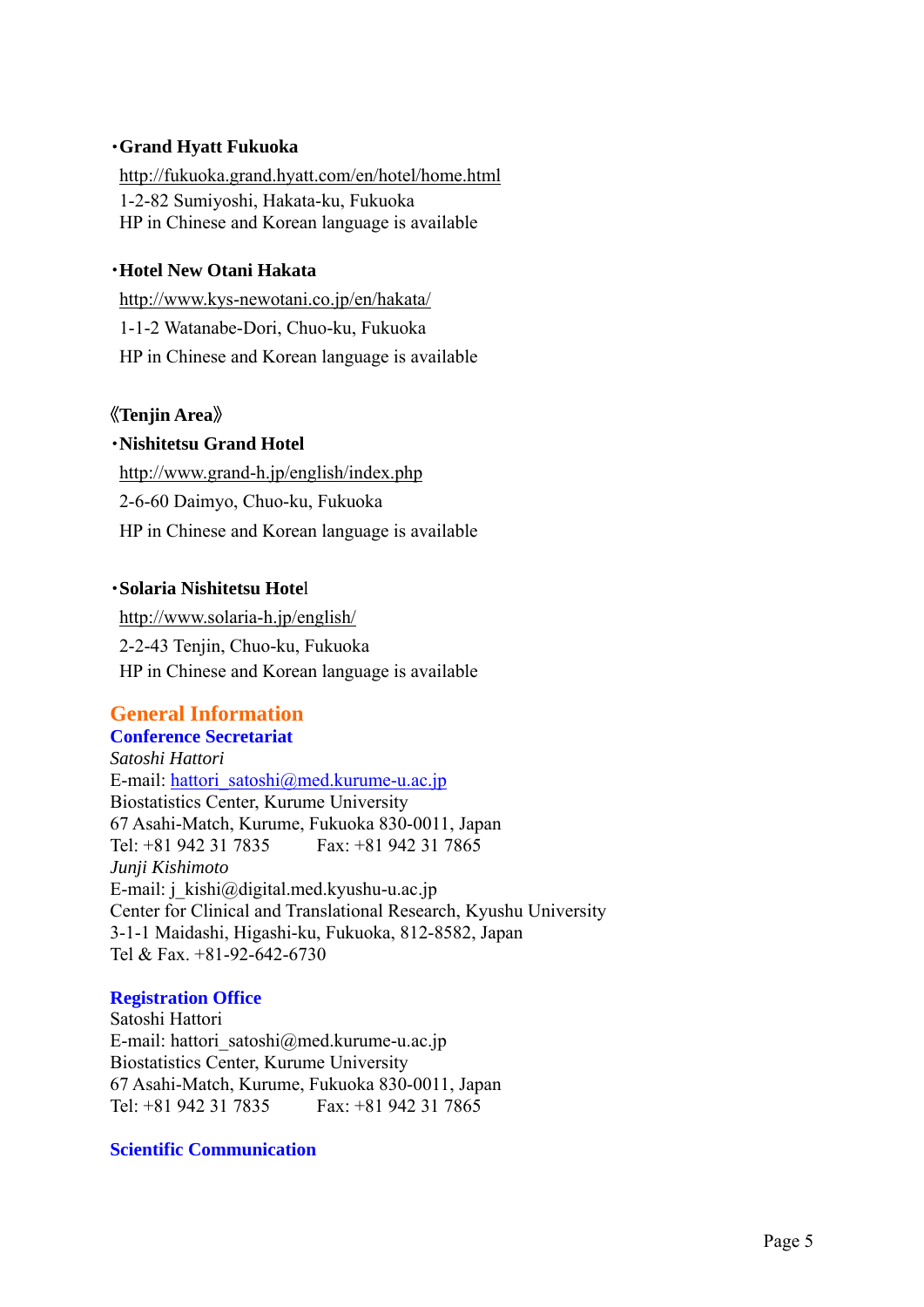### ・**Grand Hyatt Fukuoka**

http://fukuoka.grand.hyatt.com/en/hotel/home.html 1-2-82 Sumiyoshi, Hakata-ku, Fukuoka HP in Chinese and Korean language is available

### ・**Hotel New Otani Hakata**

http://www.kys-newotani.co.jp/en/hakata/ 1-1-2 Watanabe-Dori, Chuo-ku, Fukuoka HP in Chinese and Korean language is available

# 《**Tenjin Area**》

### ・**Nishitetsu Grand Hotel**

http://www.grand-h.jp/english/index.php 2-6-60 Daimyo, Chuo-ku, Fukuoka HP in Chinese and Korean language is available

### ・**Solaria Nishitetsu Hote**l

http://www.solaria-h.jp/english/ 2-2-43 Tenjin, Chuo-ku, Fukuoka HP in Chinese and Korean language is available

# **General Information**

### **Conference Secretariat**

*Satoshi Hattori*  E-mail: hattori\_satoshi@med.kurume-u.ac.jp Biostatistics Center, Kurume University 67 Asahi-Match, Kurume, Fukuoka 830-0011, Japan Tel: +81 942 31 7835 Fax: +81 942 31 7865 *Junji Kishimoto*  E-mail: j\_kishi@digital.med.kyushu-u.ac.jp Center for Clinical and Translational Research, Kyushu University 3-1-1 Maidashi, Higashi-ku, Fukuoka, 812-8582, Japan Tel & Fax. +81-92-642-6730

### **Registration Office**

Satoshi Hattori E-mail: hattori\_satoshi@med.kurume-u.ac.jp Biostatistics Center, Kurume University 67 Asahi-Match, Kurume, Fukuoka 830-0011, Japan Tel: +81 942 31 7835 Fax: +81 942 31 7865

### **Scientific Communication**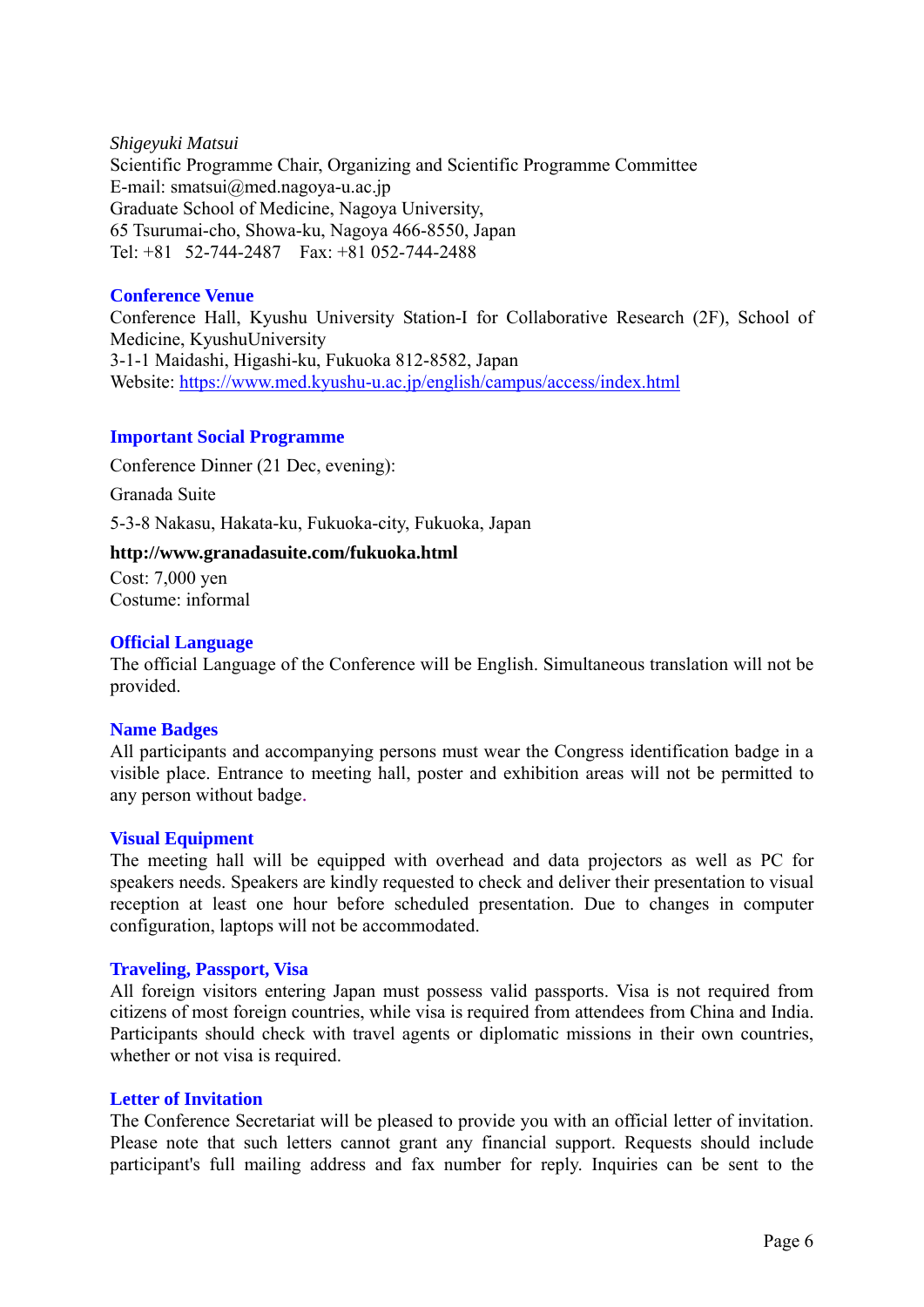*Shigeyuki Matsui*  Scientific Programme Chair, Organizing and Scientific Programme Committee E-mail: smatsui@med.nagoya-u.ac.jp Graduate School of Medicine, Nagoya University, 65 Tsurumai-cho, Showa-ku, Nagoya 466-8550, Japan Tel: +81 52-744-2487 Fax: +81 052-744-2488

### **Conference Venue**

Conference Hall, Kyushu University Station-I for Collaborative Research (2F), School of Medicine, KyushuUniversity 3-1-1 Maidashi, Higashi-ku, Fukuoka 812-8582, Japan Website: https://www.med.kyushu-u.ac.jp/english/campus/access/index.html

### **Important Social Programme**

Conference Dinner (21 Dec, evening): Granada Suite 5-3-8 Nakasu, Hakata-ku, Fukuoka-city, Fukuoka, Japan

### **http://www.granadasuite.com/fukuoka.html**

Cost: 7,000 yen Costume: informal

### **Official Language**

The official Language of the Conference will be English. Simultaneous translation will not be provided.

### **Name Badges**

All participants and accompanying persons must wear the Congress identification badge in a visible place. Entrance to meeting hall, poster and exhibition areas will not be permitted to any person without badge.

### **Visual Equipment**

The meeting hall will be equipped with overhead and data projectors as well as PC for speakers needs. Speakers are kindly requested to check and deliver their presentation to visual reception at least one hour before scheduled presentation. Due to changes in computer configuration, laptops will not be accommodated.

### **Traveling, Passport, Visa**

All foreign visitors entering Japan must possess valid passports. Visa is not required from citizens of most foreign countries, while visa is required from attendees from China and India. Participants should check with travel agents or diplomatic missions in their own countries, whether or not visa is required.

### **Letter of Invitation**

The Conference Secretariat will be pleased to provide you with an official letter of invitation. Please note that such letters cannot grant any financial support. Requests should include participant's full mailing address and fax number for reply. Inquiries can be sent to the